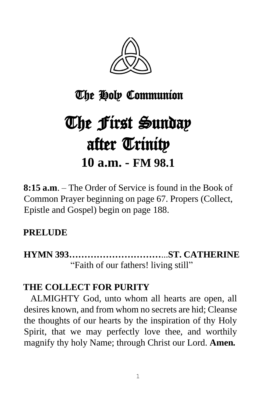

# The Holy Communion

# The First Sunday after Trinity **10 a.m. - FM 98.1**

**8:15 a.m**. – The Order of Service is found in the Book of Common Prayer beginning on page 67. Propers (Collect, Epistle and Gospel) begin on page 188.

## **PRELUDE**

**HYMN 393…………………………**...**ST. CATHERINE** "Faith of our fathers! living still"

## **THE COLLECT FOR PURITY**

 ALMIGHTY God, unto whom all hearts are open, all desires known, and from whom no secrets are hid; Cleanse the thoughts of our hearts by the inspiration of thy Holy Spirit, that we may perfectly love thee, and worthily magnify thy holy Name; through Christ our Lord. **Amen***.*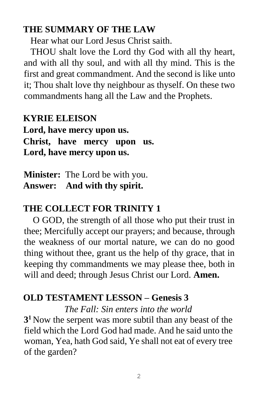### **THE SUMMARY OF THE LAW**

Hear what our Lord Jesus Christ saith.

 THOU shalt love the Lord thy God with all thy heart, and with all thy soul, and with all thy mind. This is the first and great commandment. And the second is like unto it; Thou shalt love thy neighbour as thyself. On these two commandments hang all the Law and the Prophets.

**KYRIE ELEISON Lord, have mercy upon us. Christ, have mercy upon us. Lord, have mercy upon us.** 

**Minister:** The Lord be with you. **Answer: And with thy spirit.** 

## **THE COLLECT FOR TRINITY 1**

O GOD, the strength of all those who put their trust in thee; Mercifully accept our prayers; and because, through the weakness of our mortal nature, we can do no good thing without thee, grant us the help of thy grace, that in keeping thy commandments we may please thee, both in will and deed; through Jesus Christ our Lord. **Amen.**

## **OLD TESTAMENT LESSON – Genesis 3**

*The Fall: Sin enters into the world*

**3 <sup>1</sup>** Now the serpent was more subtil than any beast of the field which the Lord God had made. And he said unto the woman, Yea, hath God said, Ye shall not eat of every tree of the garden?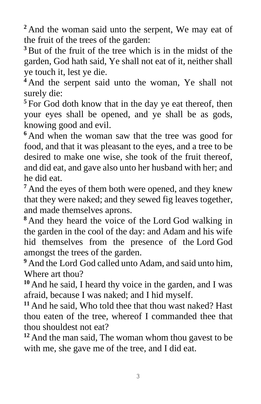**<sup>2</sup>** And the woman said unto the serpent, We may eat of the fruit of the trees of the garden:

**<sup>3</sup>**But of the fruit of the tree which is in the midst of the garden, God hath said, Ye shall not eat of it, neither shall ye touch it, lest ye die.

**<sup>4</sup>** And the serpent said unto the woman, Ye shall not surely die:

**<sup>5</sup>** For God doth know that in the day ye eat thereof, then your eyes shall be opened, and ye shall be as gods, knowing good and evil.

**<sup>6</sup>** And when the woman saw that the tree was good for food, and that it was pleasant to the eyes, and a tree to be desired to make one wise, she took of the fruit thereof, and did eat, and gave also unto her husband with her; and he did eat.

<sup>7</sup> And the eyes of them both were opened, and they knew that they were naked; and they sewed fig leaves together, and made themselves aprons.

**<sup>8</sup>** And they heard the voice of the Lord God walking in the garden in the cool of the day: and Adam and his wife hid themselves from the presence of the Lord God amongst the trees of the garden.

**<sup>9</sup>** And the Lord God called unto Adam, and said unto him, Where art thou?

**<sup>10</sup>** And he said, I heard thy voice in the garden, and I was afraid, because I was naked; and I hid myself.

**<sup>11</sup>** And he said, Who told thee that thou wast naked? Hast thou eaten of the tree, whereof I commanded thee that thou shouldest not eat?

**<sup>12</sup>** And the man said, The woman whom thou gavest to be with me, she gave me of the tree, and I did eat.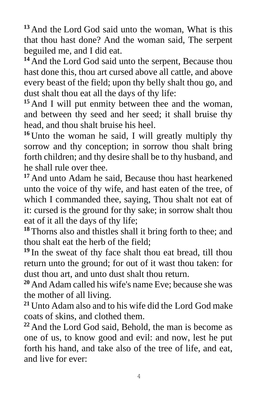**<sup>13</sup>** And the Lord God said unto the woman, What is this that thou hast done? And the woman said, The serpent beguiled me, and I did eat.

**<sup>14</sup>** And the Lord God said unto the serpent, Because thou hast done this, thou art cursed above all cattle, and above every beast of the field; upon thy belly shalt thou go, and dust shalt thou eat all the days of thy life:

**<sup>15</sup>** And I will put enmity between thee and the woman, and between thy seed and her seed; it shall bruise thy head, and thou shalt bruise his heel.

**<sup>16</sup>** Unto the woman he said, I will greatly multiply thy sorrow and thy conception; in sorrow thou shalt bring forth children; and thy desire shall be to thy husband, and he shall rule over thee.

**<sup>17</sup>** And unto Adam he said, Because thou hast hearkened unto the voice of thy wife, and hast eaten of the tree, of which I commanded thee, saying, Thou shalt not eat of it: cursed is the ground for thy sake; in sorrow shalt thou eat of it all the days of thy life;

**<sup>18</sup>** Thorns also and thistles shall it bring forth to thee; and thou shalt eat the herb of the field;

**<sup>19</sup>** In the sweat of thy face shalt thou eat bread, till thou return unto the ground; for out of it wast thou taken: for dust thou art, and unto dust shalt thou return.

**<sup>20</sup>** And Adam called his wife's name Eve; because she was the mother of all living.

**<sup>21</sup>** Unto Adam also and to his wife did the Lord God make coats of skins, and clothed them.

**<sup>22</sup>** And the Lord God said, Behold, the man is become as one of us, to know good and evil: and now, lest he put forth his hand, and take also of the tree of life, and eat, and live for ever: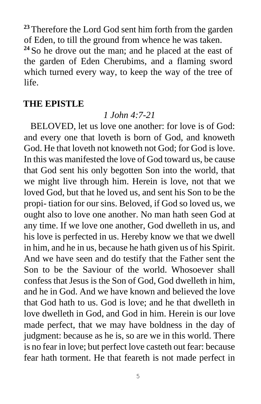**<sup>23</sup>** Therefore the Lord God sent him forth from the garden of Eden, to till the ground from whence he was taken. **<sup>24</sup>** So he drove out the man; and he placed at the east of the garden of Eden Cherubims, and a flaming sword which turned every way, to keep the way of the tree of life.

#### **THE EPISTLE**

#### *1 John 4:7-21*

 BELOVED, let us love one another: for love is of God: and every one that loveth is born of God, and knoweth God. He that loveth not knoweth not God; for God is love. In this was manifested the love of God toward us, be cause that God sent his only begotten Son into the world, that we might live through him. Herein is love, not that we loved God, but that he loved us, and sent his Son to be the propi- tiation for our sins. Beloved, if God so loved us, we ought also to love one another. No man hath seen God at any time. If we love one another, God dwelleth in us, and his love is perfected in us. Hereby know we that we dwell in him, and he in us, because he hath given us of his Spirit. And we have seen and do testify that the Father sent the Son to be the Saviour of the world. Whosoever shall confess that Jesus is the Son of God, God dwelleth in him, and he in God. And we have known and believed the love that God hath to us. God is love; and he that dwelleth in love dwelleth in God, and God in him. Herein is our love made perfect, that we may have boldness in the day of judgment: because as he is, so are we in this world. There is no fear in love; but perfect love casteth out fear: because fear hath torment. He that feareth is not made perfect in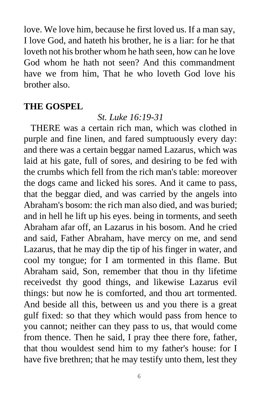love. We love him, because he first loved us. If a man say, I love God, and hateth his brother, he is a liar: for he that loveth not his brother whom he hath seen, how can he love God whom he hath not seen? And this commandment have we from him, That he who loveth God love his brother also.

#### **THE GOSPEL**

#### *St. Luke 16:19-31*

 THERE was a certain rich man, which was clothed in purple and fine linen, and fared sumptuously every day: and there was a certain beggar named Lazarus, which was laid at his gate, full of sores, and desiring to be fed with the crumbs which fell from the rich man's table: moreover the dogs came and licked his sores. And it came to pass, that the beggar died, and was carried by the angels into Abraham's bosom: the rich man also died, and was buried; and in hell he lift up his eyes. being in torments, and seeth Abraham afar off, an Lazarus in his bosom. And he cried and said, Father Abraham, have mercy on me, and send Lazarus, that he may dip the tip of his finger in water, and cool my tongue; for I am tormented in this flame. But Abraham said, Son, remember that thou in thy lifetime receivedst thy good things, and likewise Lazarus evil things: but now he is comforted, and thou art tormented. And beside all this, between us and you there is a great gulf fixed: so that they which would pass from hence to you cannot; neither can they pass to us, that would come from thence. Then he said, I pray thee there fore, father, that thou wouldest send him to my father's house: for I have five brethren; that he may testify unto them, lest they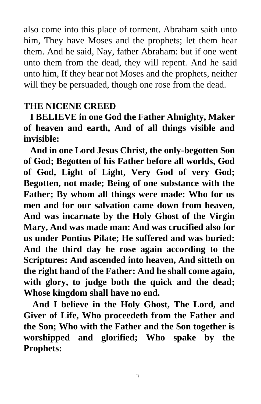also come into this place of torment. Abraham saith unto him, They have Moses and the prophets; let them hear them. And he said, Nay, father Abraham: but if one went unto them from the dead, they will repent. And he said unto him, If they hear not Moses and the prophets, neither will they be persuaded, though one rose from the dead.

#### **THE NICENE CREED**

 **I BELIEVE in one God the Father Almighty, Maker of heaven and earth, And of all things visible and invisible:** 

 **And in one Lord Jesus Christ, the only-begotten Son of God; Begotten of his Father before all worlds, God of God, Light of Light, Very God of very God; Begotten, not made; Being of one substance with the Father; By whom all things were made: Who for us men and for our salvation came down from heaven, And was incarnate by the Holy Ghost of the Virgin Mary, And was made man: And was crucified also for us under Pontius Pilate; He suffered and was buried: And the third day he rose again according to the Scriptures: And ascended into heaven, And sitteth on the right hand of the Father: And he shall come again, with glory, to judge both the quick and the dead; Whose kingdom shall have no end.** 

 **And I believe in the Holy Ghost, The Lord, and Giver of Life, Who proceedeth from the Father and the Son; Who with the Father and the Son together is worshipped and glorified; Who spake by the Prophets:** 

7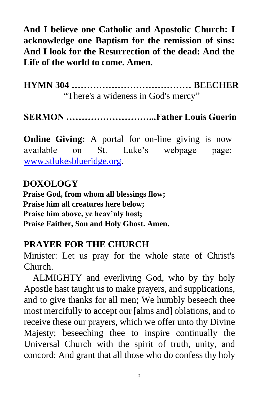**And I believe one Catholic and Apostolic Church: I acknowledge one Baptism for the remission of sins: And I look for the Resurrection of the dead: And the Life of the world to come. Amen.** 

**HYMN 304 ………………………………… BEECHER** "There's a wideness in God's mercy"

**SERMON ………………………...Father Louis Guerin**

**Online Giving:** A portal for on-line giving is now available on St. Luke's webpage page: [www.stlukesblueridge.org.](http://www.stlukesblueridge.org/)

#### **DOXOLOGY**

**Praise God, from whom all blessings flow; Praise him all creatures here below; Praise him above, ye heav'nly host; Praise Faither, Son and Holy Ghost. Amen.** 

#### **PRAYER FOR THE CHURCH**

Minister: Let us pray for the whole state of Christ's Church.

 ALMIGHTY and everliving God, who by thy holy Apostle hast taught us to make prayers, and supplications, and to give thanks for all men; We humbly beseech thee most mercifully to accept our [alms and] oblations, and to receive these our prayers, which we offer unto thy Divine Majesty; beseeching thee to inspire continually the Universal Church with the spirit of truth, unity, and concord: And grant that all those who do confess thy holy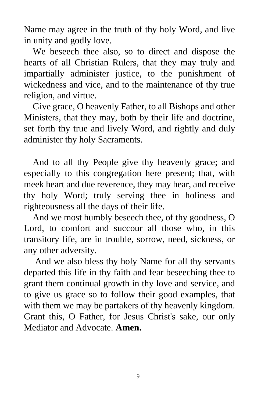Name may agree in the truth of thy holy Word, and live in unity and godly love.

 We beseech thee also, so to direct and dispose the hearts of all Christian Rulers, that they may truly and impartially administer justice, to the punishment of wickedness and vice, and to the maintenance of thy true religion, and virtue.

 Give grace, O heavenly Father, to all Bishops and other Ministers, that they may, both by their life and doctrine, set forth thy true and lively Word, and rightly and duly administer thy holy Sacraments.

 And to all thy People give thy heavenly grace; and especially to this congregation here present; that, with meek heart and due reverence, they may hear, and receive thy holy Word; truly serving thee in holiness and righteousness all the days of their life.

 And we most humbly beseech thee, of thy goodness, O Lord, to comfort and succour all those who, in this transitory life, are in trouble, sorrow, need, sickness, or any other adversity.

 And we also bless thy holy Name for all thy servants departed this life in thy faith and fear beseeching thee to grant them continual growth in thy love and service, and to give us grace so to follow their good examples, that with them we may be partakers of thy heavenly kingdom. Grant this, O Father, for Jesus Christ's sake, our only Mediator and Advocate. **Amen.**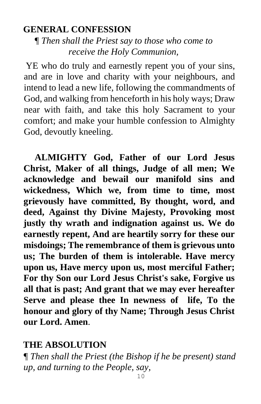#### **GENERAL CONFESSION**

*¶ Then shall the Priest say to those who come to receive the Holy Communion,*

YE who do truly and earnestly repent you of your sins, and are in love and charity with your neighbours, and intend to lead a new life, following the commandments of God, and walking from henceforth in his holy ways; Draw near with faith, and take this holy Sacrament to your comfort; and make your humble confession to Almighty God, devoutly kneeling.

 **ALMIGHTY God, Father of our Lord Jesus Christ, Maker of all things, Judge of all men; We acknowledge and bewail our manifold sins and wickedness, Which we, from time to time, most grievously have committed, By thought, word, and deed, Against thy Divine Majesty, Provoking most justly thy wrath and indignation against us. We do earnestly repent, And are heartily sorry for these our misdoings; The remembrance of them is grievous unto us; The burden of them is intolerable. Have mercy upon us, Have mercy upon us, most merciful Father; For thy Son our Lord Jesus Christ's sake, Forgive us all that is past; And grant that we may ever hereafter Serve and please thee In newness of life, To the honour and glory of thy Name; Through Jesus Christ our Lord. Amen**.

## **THE ABSOLUTION**

*¶ Then shall the Priest (the Bishop if he be present) stand up, and turning to the People, say,*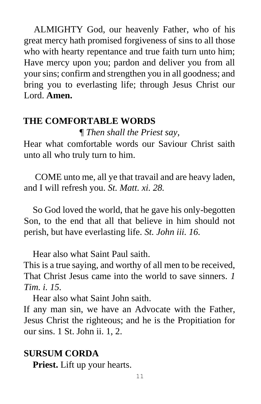ALMIGHTY God, our heavenly Father, who of his great mercy hath promised forgiveness of sins to all those who with hearty repentance and true faith turn unto him; Have mercy upon you; pardon and deliver you from all your sins; confirm and strengthen you in all goodness; and bring you to everlasting life; through Jesus Christ our Lord. **Amen.** 

#### **THE COMFORTABLE WORDS**

*¶ Then shall the Priest say,*

Hear what comfortable words our Saviour Christ saith unto all who truly turn to him.

 COME unto me, all ye that travail and are heavy laden, and I will refresh you. *St. Matt. xi. 28.*

 So God loved the world, that he gave his only-begotten Son, to the end that all that believe in him should not perish, but have everlasting life. *St. John iii. 16.*

Hear also what Saint Paul saith.

This is a true saying, and worthy of all men to be received, That Christ Jesus came into the world to save sinners. *1 Tim. i. 15.* 

Hear also what Saint John saith.

If any man sin, we have an Advocate with the Father, Jesus Christ the righteous; and he is the Propitiation for our sins. 1 St. John ii. 1, 2.

#### **SURSUM CORDA**

**Priest.** Lift up your hearts.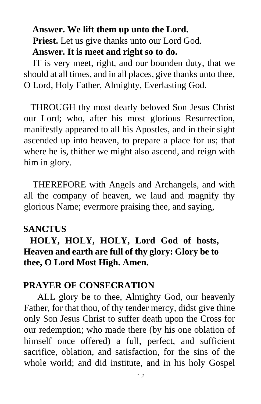## **Answer. We lift them up unto the Lord. Priest.** Let us give thanks unto our Lord God. **Answer. It is meet and right so to do.**

 IT is very meet, right, and our bounden duty, that we should at all times, and in all places, give thanks unto thee, O Lord, Holy Father, Almighty, Everlasting God.

THROUGH thy most dearly beloved Son Jesus Christ our Lord; who, after his most glorious Resurrection, manifestly appeared to all his Apostles, and in their sight ascended up into heaven, to prepare a place for us; that where he is, thither we might also ascend, and reign with him in glory.

 THEREFORE with Angels and Archangels, and with all the company of heaven, we laud and magnify thy glorious Name; evermore praising thee, and saying,

#### **SANCTUS**

## **HOLY, HOLY, HOLY, Lord God of hosts, Heaven and earth are full of thy glory: Glory be to thee, O Lord Most High. Amen.**

#### **PRAYER OF CONSECRATION**

 ALL glory be to thee, Almighty God, our heavenly Father, for that thou, of thy tender mercy, didst give thine only Son Jesus Christ to suffer death upon the Cross for our redemption; who made there (by his one oblation of himself once offered) a full, perfect, and sufficient sacrifice, oblation, and satisfaction, for the sins of the whole world; and did institute, and in his holy Gospel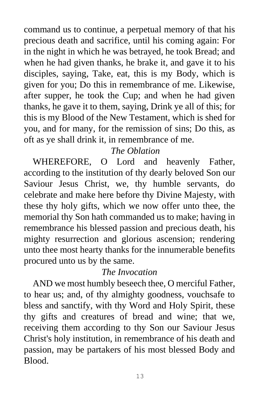command us to continue, a perpetual memory of that his precious death and sacrifice, until his coming again: For in the night in which he was betrayed, he took Bread; and when he had given thanks, he brake it, and gave it to his disciples, saying, Take, eat, this is my Body, which is given for you; Do this in remembrance of me. Likewise, after supper, he took the Cup; and when he had given thanks, he gave it to them, saying, Drink ye all of this; for this is my Blood of the New Testament, which is shed for you, and for many, for the remission of sins; Do this, as oft as ye shall drink it, in remembrance of me.

#### *The Oblation*

 WHEREFORE, O Lord and heavenly Father, according to the institution of thy dearly beloved Son our Saviour Jesus Christ, we, thy humble servants, do celebrate and make here before thy Divine Majesty, with these thy holy gifts, which we now offer unto thee, the memorial thy Son hath commanded us to make; having in remembrance his blessed passion and precious death, his mighty resurrection and glorious ascension; rendering unto thee most hearty thanks for the innumerable benefits procured unto us by the same.

#### *The Invocation*

 AND we most humbly beseech thee, O merciful Father, to hear us; and, of thy almighty goodness, vouchsafe to bless and sanctify, with thy Word and Holy Spirit, these thy gifts and creatures of bread and wine; that we, receiving them according to thy Son our Saviour Jesus Christ's holy institution, in remembrance of his death and passion, may be partakers of his most blessed Body and Blood.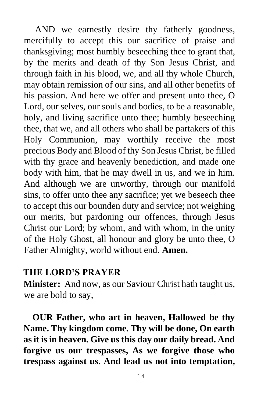AND we earnestly desire thy fatherly goodness, mercifully to accept this our sacrifice of praise and thanksgiving; most humbly beseeching thee to grant that, by the merits and death of thy Son Jesus Christ, and through faith in his blood, we, and all thy whole Church, may obtain remission of our sins, and all other benefits of his passion. And here we offer and present unto thee, O Lord, our selves, our souls and bodies, to be a reasonable, holy, and living sacrifice unto thee; humbly beseeching thee, that we, and all others who shall be partakers of this Holy Communion, may worthily receive the most precious Body and Blood of thy Son Jesus Christ, be filled with thy grace and heavenly benediction, and made one body with him, that he may dwell in us, and we in him. And although we are unworthy, through our manifold sins, to offer unto thee any sacrifice; yet we beseech thee to accept this our bounden duty and service; not weighing our merits, but pardoning our offences, through Jesus Christ our Lord; by whom, and with whom, in the unity of the Holy Ghost, all honour and glory be unto thee, O Father Almighty, world without end. **Amen.**

#### **THE LORD'S PRAYER**

**Minister:** And now, as our Saviour Christ hath taught us, we are bold to say,

 **OUR Father, who art in heaven, Hallowed be thy Name. Thy kingdom come. Thy will be done, On earth as it is in heaven. Give us this day our daily bread. And forgive us our trespasses, As we forgive those who trespass against us. And lead us not into temptation,**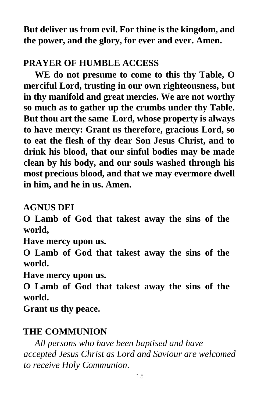**But deliver us from evil. For thine is the kingdom, and the power, and the glory, for ever and ever. Amen.** 

## **PRAYER OF HUMBLE ACCESS**

 **WE do not presume to come to this thy Table, O merciful Lord, trusting in our own righteousness, but in thy manifold and great mercies. We are not worthy so much as to gather up the crumbs under thy Table. But thou art the same Lord, whose property is always to have mercy: Grant us therefore, gracious Lord, so to eat the flesh of thy dear Son Jesus Christ, and to drink his blood, that our sinful bodies may be made clean by his body, and our souls washed through his most precious blood, and that we may evermore dwell in him, and he in us. Amen.** 

**AGNUS DEI** 

**O Lamb of God that takest away the sins of the world,** 

**Have mercy upon us.** 

**O Lamb of God that takest away the sins of the world.** 

**Have mercy upon us.** 

**O Lamb of God that takest away the sins of the world.** 

**Grant us thy peace.** 

## **THE COMMUNION**

 *All persons who have been baptised and have accepted Jesus Christ as Lord and Saviour are welcomed to receive Holy Communion.*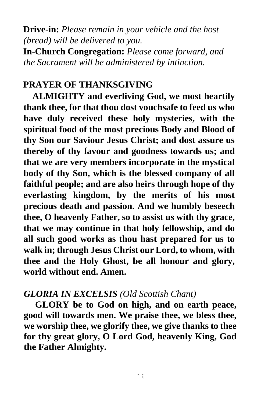**Drive-in:** *Please remain in your vehicle and the host (bread) will be delivered to you.*  **In-Church Congregation:** *Please come forward, and* 

*the Sacrament will be administered by intinction.* 

## **PRAYER OF THANKSGIVING**

 **ALMIGHTY and everliving God, we most heartily thank thee, for that thou dost vouchsafe to feed us who have duly received these holy mysteries, with the spiritual food of the most precious Body and Blood of thy Son our Saviour Jesus Christ; and dost assure us thereby of thy favour and goodness towards us; and that we are very members incorporate in the mystical body of thy Son, which is the blessed company of all faithful people; and are also heirs through hope of thy everlasting kingdom, by the merits of his most precious death and passion. And we humbly beseech thee, O heavenly Father, so to assist us with thy grace, that we may continue in that holy fellowship, and do all such good works as thou hast prepared for us to walk in; through Jesus Christ our Lord, to whom, with thee and the Holy Ghost, be all honour and glory, world without end. Amen.** 

## *GLORIA IN EXCELSIS (Old Scottish Chant)*

 **GLORY be to God on high, and on earth peace, good will towards men. We praise thee, we bless thee, we worship thee, we glorify thee, we give thanks to thee for thy great glory, O Lord God, heavenly King, God the Father Almighty.**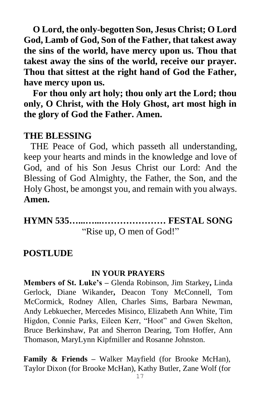**O Lord, the only-begotten Son, Jesus Christ; O Lord God, Lamb of God, Son of the Father, that takest away the sins of the world, have mercy upon us. Thou that takest away the sins of the world, receive our prayer. Thou that sittest at the right hand of God the Father, have mercy upon us.**

 **For thou only art holy; thou only art the Lord; thou only, O Christ, with the Holy Ghost, art most high in the glory of God the Father. Amen.**

#### **THE BLESSING**

 THE Peace of God, which passeth all understanding, keep your hearts and minds in the knowledge and love of God, and of his Son Jesus Christ our Lord: And the Blessing of God Almighty, the Father, the Son, and the Holy Ghost, be amongst you, and remain with you always. **Amen.**

**HYMN 535…...…...………………… FESTAL SONG** "Rise up, O men of God!"

#### **POSTLUDE**

#### **IN YOUR PRAYERS**

**Members of St. Luke's –** Glenda Robinson, Jim Starkey**,** Linda Gerlock, Diane Wikander**,** Deacon Tony McConnell, Tom McCormick, Rodney Allen, Charles Sims, Barbara Newman, Andy Lebkuecher, Mercedes Misinco, Elizabeth Ann White, Tim Higdon, Connie Parks, Eileen Kerr, "Hoot" and Gwen Skelton, Bruce Berkinshaw, Pat and Sherron Dearing, Tom Hoffer, Ann Thomason, MaryLynn Kipfmiller and Rosanne Johnston.

**Family & Friends –** Walker Mayfield (for Brooke McHan), Taylor Dixon (for Brooke McHan), Kathy Butler, Zane Wolf (for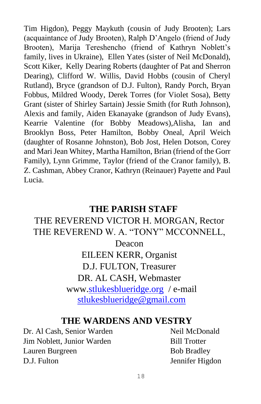Tim Higdon), Peggy Maykuth (cousin of Judy Brooten); Lars (acquaintance of Judy Brooten), Ralph D'Angelo (friend of Judy Brooten), Marija Tereshencho (friend of Kathryn Noblett's family, lives in Ukraine),Ellen Yates (sister of Neil McDonald), Scott Kiker, Kelly Dearing Roberts (daughter of Pat and Sherron Dearing), Clifford W. Willis, David Hobbs (cousin of Cheryl Rutland), Bryce (grandson of D.J. Fulton), Randy Porch, Bryan Fobbus, Mildred Woody, Derek Torres (for Violet Sosa), Betty Grant (sister of Shirley Sartain) Jessie Smith (for Ruth Johnson), Alexis and family, Aiden Ekanayake (grandson of Judy Evans), Kearrie Valentine (for Bobby Meadows),Alisha, Ian and Brooklyn Boss, Peter Hamilton, Bobby Oneal, April Weich (daughter of Rosanne Johnston), Bob Jost, Helen Dotson, Corey and Mari Jean Whitey, Martha Hamilton, Brian (friend of the Gorr Family), Lynn Grimme, Taylor (friend of the Cranor family), B. Z. Cashman, Abbey Cranor, Kathryn (Reinauer) Payette and Paul Lucia.

#### **THE PARISH STAFF**

## THE REVEREND VICTOR H. MORGAN, Rector THE REVEREND W. A. "TONY" MCCONNELL, Deacon EILEEN KERR, Organist D.J. FULTON, Treasurer DR. AL CASH, Webmaster www.stlukesblueridge.org / e-mail stlukesblueridge@gmail.com

#### **THE WARDENS AND VESTRY**

Dr. Al Cash, Senior Warden Neil McDonald **Jim Noblett, Junior Warden** Bill Trotter Lauren Burgreen Bob Bradley D.J. Fulton Jennifer Higdon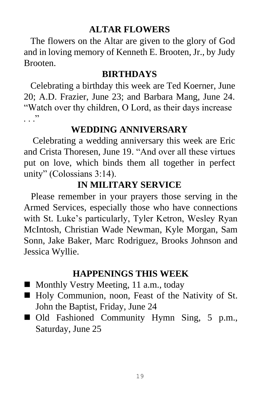#### **ALTAR FLOWERS**

 The flowers on the Altar are given to the glory of God and in loving memory of Kenneth E. Brooten, Jr., by Judy Brooten.

#### **BIRTHDAYS**

 Celebrating a birthday this week are Ted Koerner, June 20; A.D. Frazier, June 23; and Barbara Mang, June 24. "Watch over thy children, O Lord, as their days increase  $\cdots$   $\cdots$ 

## **WEDDING ANNIVERSARY**

 Celebrating a wedding anniversary this week are Eric and Crista Thoresen, June 19. "And over all these virtues put on love, which binds them all together in perfect unity" (Colossians 3:14).

## **IN MILITARY SERVICE**

 Please remember in your prayers those serving in the Armed Services, especially those who have connections with St. Luke's particularly, Tyler Ketron, Wesley Ryan McIntosh, Christian Wade Newman, Kyle Morgan, Sam Sonn, Jake Baker, Marc Rodriguez, Brooks Johnson and Jessica Wyllie.

## **HAPPENINGS THIS WEEK**

- Monthly Vestry Meeting, 11 a.m., today
- Holy Communion, noon, Feast of the Nativity of St. John the Baptist, Friday, June 24
- Old Fashioned Community Hymn Sing, 5 p.m., Saturday, June 25